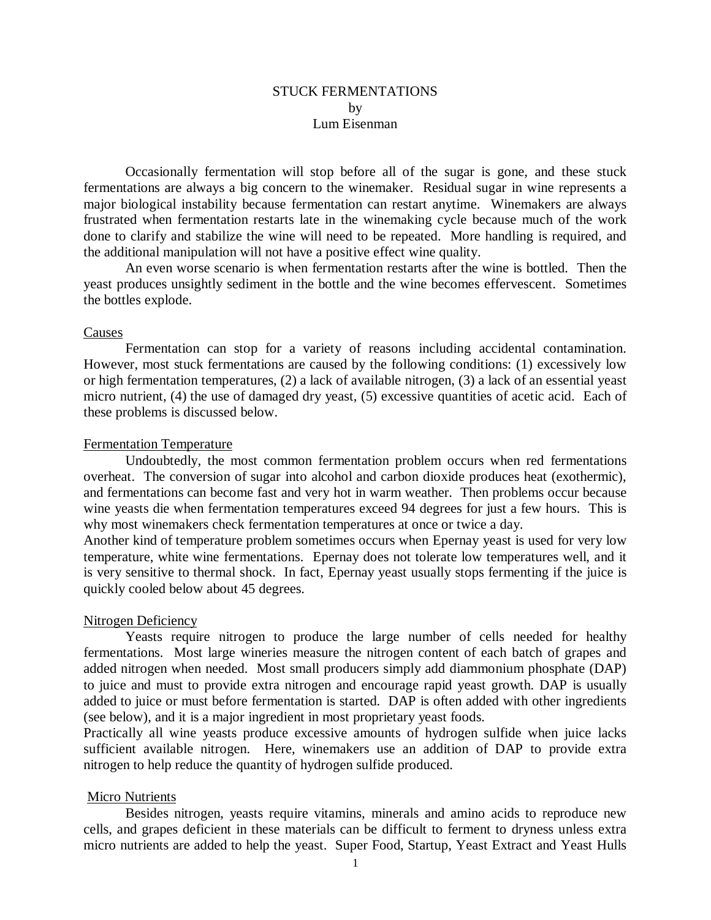# STUCK FERMENTATIONS by Lum Eisenman

Occasionally fermentation will stop before all of the sugar is gone, and these stuck fermentations are always a big concern to the winemaker. Residual sugar in wine represents a major biological instability because fermentation can restart anytime. Winemakers are always frustrated when fermentation restarts late in the winemaking cycle because much of the work done to clarify and stabilize the wine will need to be repeated. More handling is required, and the additional manipulation will not have a positive effect wine quality.

An even worse scenario is when fermentation restarts after the wine is bottled. Then the yeast produces unsightly sediment in the bottle and the wine becomes effervescent. Sometimes the bottles explode.

## Causes

Fermentation can stop for a variety of reasons including accidental contamination. However, most stuck fermentations are caused by the following conditions: (1) excessively low or high fermentation temperatures, (2) a lack of available nitrogen, (3) a lack of an essential yeast micro nutrient, (4) the use of damaged dry yeast, (5) excessive quantities of acetic acid. Each of these problems is discussed below.

### Fermentation Temperature

Undoubtedly, the most common fermentation problem occurs when red fermentations overheat. The conversion of sugar into alcohol and carbon dioxide produces heat (exothermic), and fermentations can become fast and very hot in warm weather. Then problems occur because wine yeasts die when fermentation temperatures exceed 94 degrees for just a few hours. This is why most winemakers check fermentation temperatures at once or twice a day.

Another kind of temperature problem sometimes occurs when Epernay yeast is used for very low temperature, white wine fermentations. Epernay does not tolerate low temperatures well, and it is very sensitive to thermal shock. In fact, Epernay yeast usually stops fermenting if the juice is quickly cooled below about 45 degrees.

### Nitrogen Deficiency

Yeasts require nitrogen to produce the large number of cells needed for healthy fermentations. Most large wineries measure the nitrogen content of each batch of grapes and added nitrogen when needed. Most small producers simply add diammonium phosphate (DAP) to juice and must to provide extra nitrogen and encourage rapid yeast growth. DAP is usually added to juice or must before fermentation is started. DAP is often added with other ingredients (see below), and it is a major ingredient in most proprietary yeast foods.

Practically all wine yeasts produce excessive amounts of hydrogen sulfide when juice lacks sufficient available nitrogen. Here, winemakers use an addition of DAP to provide extra nitrogen to help reduce the quantity of hydrogen sulfide produced.

#### Micro Nutrients

Besides nitrogen, yeasts require vitamins, minerals and amino acids to reproduce new cells, and grapes deficient in these materials can be difficult to ferment to dryness unless extra micro nutrients are added to help the yeast. Super Food, Startup, Yeast Extract and Yeast Hulls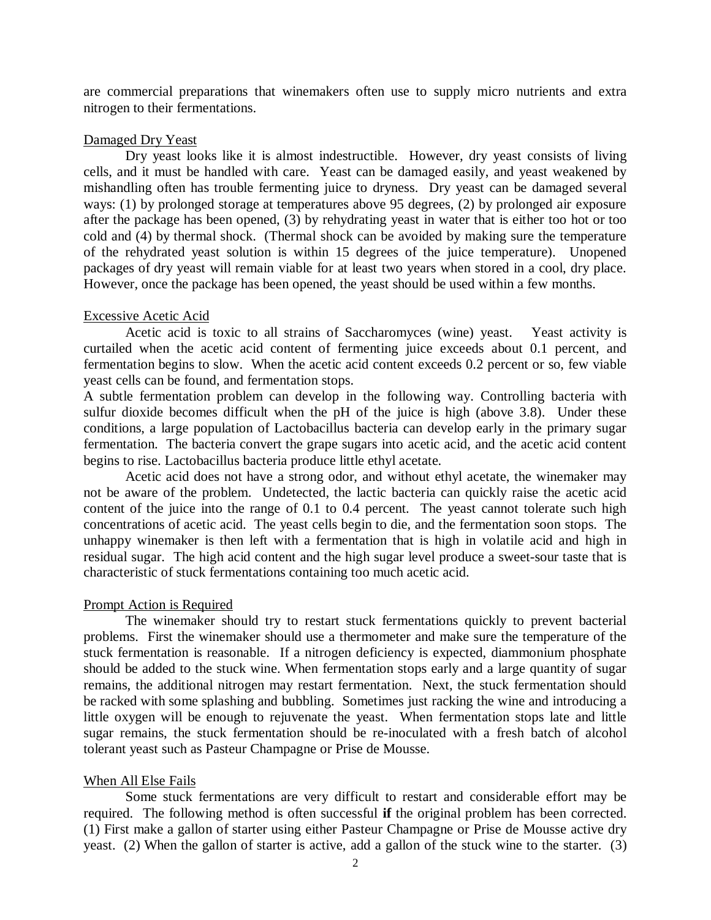are commercial preparations that winemakers often use to supply micro nutrients and extra nitrogen to their fermentations.

## Damaged Dry Yeast

Dry yeast looks like it is almost indestructible. However, dry yeast consists of living cells, and it must be handled with care. Yeast can be damaged easily, and yeast weakened by mishandling often has trouble fermenting juice to dryness. Dry yeast can be damaged several ways: (1) by prolonged storage at temperatures above 95 degrees, (2) by prolonged air exposure after the package has been opened, (3) by rehydrating yeast in water that is either too hot or too cold and (4) by thermal shock. (Thermal shock can be avoided by making sure the temperature of the rehydrated yeast solution is within 15 degrees of the juice temperature). Unopened packages of dry yeast will remain viable for at least two years when stored in a cool, dry place. However, once the package has been opened, the yeast should be used within a few months.

#### Excessive Acetic Acid

Acetic acid is toxic to all strains of Saccharomyces (wine) yeast. Yeast activity is curtailed when the acetic acid content of fermenting juice exceeds about 0.1 percent, and fermentation begins to slow. When the acetic acid content exceeds 0.2 percent or so, few viable yeast cells can be found, and fermentation stops.

A subtle fermentation problem can develop in the following way. Controlling bacteria with sulfur dioxide becomes difficult when the pH of the juice is high (above 3.8). Under these conditions, a large population of Lactobacillus bacteria can develop early in the primary sugar fermentation. The bacteria convert the grape sugars into acetic acid, and the acetic acid content begins to rise. Lactobacillus bacteria produce little ethyl acetate.

Acetic acid does not have a strong odor, and without ethyl acetate, the winemaker may not be aware of the problem. Undetected, the lactic bacteria can quickly raise the acetic acid content of the juice into the range of 0.1 to 0.4 percent. The yeast cannot tolerate such high concentrations of acetic acid. The yeast cells begin to die, and the fermentation soon stops. The unhappy winemaker is then left with a fermentation that is high in volatile acid and high in residual sugar. The high acid content and the high sugar level produce a sweet-sour taste that is characteristic of stuck fermentations containing too much acetic acid.

#### Prompt Action is Required

The winemaker should try to restart stuck fermentations quickly to prevent bacterial problems. First the winemaker should use a thermometer and make sure the temperature of the stuck fermentation is reasonable. If a nitrogen deficiency is expected, diammonium phosphate should be added to the stuck wine. When fermentation stops early and a large quantity of sugar remains, the additional nitrogen may restart fermentation. Next, the stuck fermentation should be racked with some splashing and bubbling. Sometimes just racking the wine and introducing a little oxygen will be enough to rejuvenate the yeast. When fermentation stops late and little sugar remains, the stuck fermentation should be re-inoculated with a fresh batch of alcohol tolerant yeast such as Pasteur Champagne or Prise de Mousse.

## When All Else Fails

Some stuck fermentations are very difficult to restart and considerable effort may be required. The following method is often successful **if** the original problem has been corrected. (1) First make a gallon of starter using either Pasteur Champagne or Prise de Mousse active dry yeast. (2) When the gallon of starter is active, add a gallon of the stuck wine to the starter. (3)